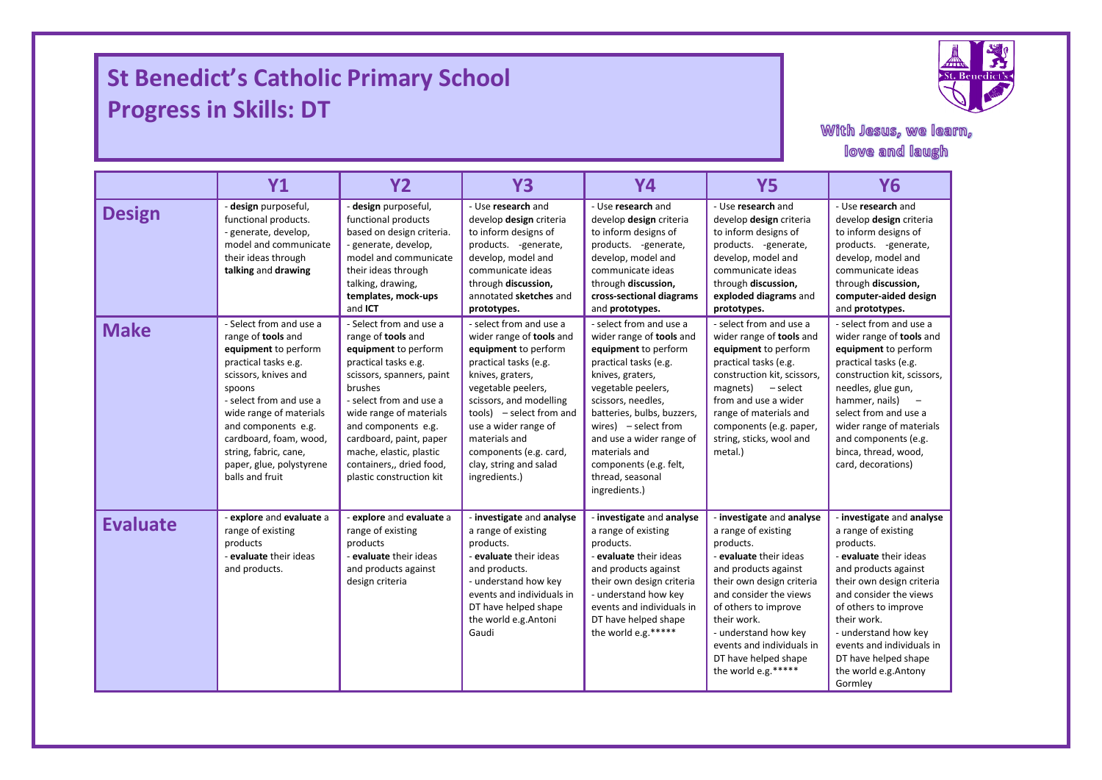## **St Benedict's Catholic Primary School Progress in Skills: DT**

I

I

l



## With Jesus, we learn, love and laugh

|                 | <b>Y1</b>                                                                                                                                                                                                                                                                                                      | <b>Y2</b>                                                                                                                                                                                                                                                                                                                        | <b>Y3</b>                                                                                                                                                                                                                                                                                                           | <b>Y4</b>                                                                                                                                                                                                                                                                                                                                | <b>Y5</b>                                                                                                                                                                                                                                                                                                       | <b>Y6</b>                                                                                                                                                                                                                                                                                                                    |
|-----------------|----------------------------------------------------------------------------------------------------------------------------------------------------------------------------------------------------------------------------------------------------------------------------------------------------------------|----------------------------------------------------------------------------------------------------------------------------------------------------------------------------------------------------------------------------------------------------------------------------------------------------------------------------------|---------------------------------------------------------------------------------------------------------------------------------------------------------------------------------------------------------------------------------------------------------------------------------------------------------------------|------------------------------------------------------------------------------------------------------------------------------------------------------------------------------------------------------------------------------------------------------------------------------------------------------------------------------------------|-----------------------------------------------------------------------------------------------------------------------------------------------------------------------------------------------------------------------------------------------------------------------------------------------------------------|------------------------------------------------------------------------------------------------------------------------------------------------------------------------------------------------------------------------------------------------------------------------------------------------------------------------------|
| <b>Design</b>   | - design purposeful,<br>functional products.<br>- generate, develop,<br>model and communicate<br>their ideas through<br>talking and drawing                                                                                                                                                                    | - design purposeful,<br>functional products<br>based on design criteria.<br>- generate, develop,<br>model and communicate<br>their ideas through<br>talking, drawing,<br>templates, mock-ups<br>and ICT                                                                                                                          | - Use research and<br>develop design criteria<br>to inform designs of<br>products. -generate,<br>develop, model and<br>communicate ideas<br>through discussion,<br>annotated sketches and<br>prototypes.                                                                                                            | - Use research and<br>develop design criteria<br>to inform designs of<br>products. -generate,<br>develop, model and<br>communicate ideas<br>through discussion,<br>cross-sectional diagrams<br>and prototypes.                                                                                                                           | - Use research and<br>develop design criteria<br>to inform designs of<br>products. - generate,<br>develop, model and<br>communicate ideas<br>through discussion,<br>exploded diagrams and<br>prototypes.                                                                                                        | - Use research and<br>develop design criteria<br>to inform designs of<br>products. -generate,<br>develop, model and<br>communicate ideas<br>through discussion,<br>computer-aided design<br>and prototypes.                                                                                                                  |
| <b>Make</b>     | - Select from and use a<br>range of tools and<br>equipment to perform<br>practical tasks e.g.<br>scissors, knives and<br>spoons<br>- select from and use a<br>wide range of materials<br>and components e.g.<br>cardboard, foam, wood,<br>string, fabric, cane,<br>paper, glue, polystyrene<br>balls and fruit | - Select from and use a<br>range of tools and<br>equipment to perform<br>practical tasks e.g.<br>scissors, spanners, paint<br>brushes<br>- select from and use a<br>wide range of materials<br>and components e.g.<br>cardboard, paint, paper<br>mache, elastic, plastic<br>containers,, dried food,<br>plastic construction kit | - select from and use a<br>wider range of tools and<br>equipment to perform<br>practical tasks (e.g.<br>knives, graters,<br>vegetable peelers,<br>scissors, and modelling<br>tools) - select from and<br>use a wider range of<br>materials and<br>components (e.g. card,<br>clay, string and salad<br>ingredients.) | - select from and use a<br>wider range of tools and<br>equipment to perform<br>practical tasks (e.g.<br>knives, graters,<br>vegetable peelers,<br>scissors, needles,<br>batteries, bulbs, buzzers,<br>wires) $-$ select from<br>and use a wider range of<br>materials and<br>components (e.g. felt,<br>thread, seasonal<br>ingredients.) | - select from and use a<br>wider range of tools and<br>equipment to perform<br>practical tasks (e.g.<br>construction kit, scissors,<br>magnets)<br>– select<br>from and use a wider<br>range of materials and<br>components (e.g. paper,<br>string, sticks, wool and<br>metal.)                                 | - select from and use a<br>wider range of tools and<br>equipment to perform<br>practical tasks (e.g.<br>construction kit, scissors,<br>needles, glue gun,<br>hammer, nails)<br>$\sim$<br>select from and use a<br>wider range of materials<br>and components (e.g.<br>binca, thread, wood,<br>card, decorations)             |
| <b>Evaluate</b> | - explore and evaluate a<br>range of existing<br>products<br>- evaluate their ideas<br>and products.                                                                                                                                                                                                           | - explore and evaluate a<br>range of existing<br>products<br>- evaluate their ideas<br>and products against<br>design criteria                                                                                                                                                                                                   | - investigate and analyse<br>a range of existing<br>products.<br>- evaluate their ideas<br>and products.<br>- understand how key<br>events and individuals in<br>DT have helped shape<br>the world e.g. Antoni<br>Gaudi                                                                                             | - investigate and analyse<br>a range of existing<br>products.<br>- evaluate their ideas<br>and products against<br>their own design criteria<br>- understand how key<br>events and individuals in<br>DT have helped shape<br>the world e.g.*****                                                                                         | investigate and analyse<br>a range of existing<br>products.<br>- evaluate their ideas<br>and products against<br>their own design criteria<br>and consider the views<br>of others to improve<br>their work.<br>- understand how key<br>events and individuals in<br>DT have helped shape<br>the world e.g.***** | investigate and analyse<br>a range of existing<br>products.<br>- evaluate their ideas<br>and products against<br>their own design criteria<br>and consider the views<br>of others to improve<br>their work.<br>- understand how key<br>events and individuals in<br>DT have helped shape<br>the world e.g. Antony<br>Gormley |